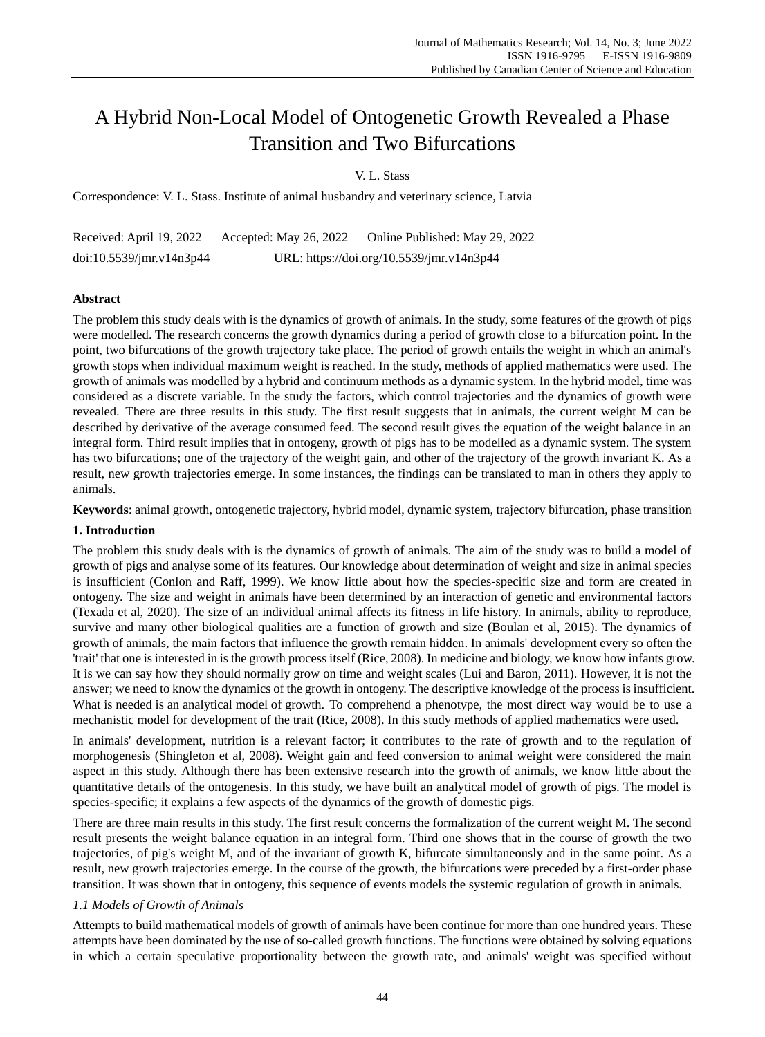# A Hybrid Non-Local Model of Ontogenetic Growth Revealed a Phase Transition and Two Bifurcations

V. L. Stass

Correspondence: V. L. Stass. Institute of animal husbandry and veterinary science, Latvia

Received: April 19, 2022 Accepted: May 26, 2022 Online Published: May 29, 2022 doi:10.5539/jmr.v14n3p44 URL: https://doi.org/10.5539/jmr.v14n3p44

## **Abstract**

The problem this study deals with is the dynamics of growth of animals. In the study, some features of the growth of pigs were modelled. The research concerns the growth dynamics during a period of growth close to a bifurcation point. In the point, two bifurcations of the growth trajectory take place. The period of growth entails the weight in which an animal's growth stops when individual maximum weight is reached. In the study, methods of applied mathematics were used. The growth of animals was modelled by a hybrid and continuum methods as a dynamic system. In the hybrid model, time was considered as a discrete variable. In the study the factors, which control trajectories and the dynamics of growth were revealed. There are three results in this study. The first result suggests that in animals, the current weight M can be described by derivative of the average consumed feed. The second result gives the equation of the weight balance in an integral form. Third result implies that in ontogeny, growth of pigs has to be modelled as a dynamic system. The system has two bifurcations; one of the trajectory of the weight gain, and other of the trajectory of the growth invariant K. As a result, new growth trajectories emerge. In some instances, the findings can be translated to man in others they apply to animals.

**Keywords**: animal growth, ontogenetic trajectory, hybrid model, dynamic system, trajectory bifurcation, phase transition

## **1. Introduction**

The problem this study deals with is the dynamics of growth of animals. The aim of the study was to build a model of growth of pigs and analyse some of its features. Our knowledge about determination of weight and size in animal species is insufficient (Conlon and Raff, 1999). We know little about how the species-specific size and form are created in ontogeny. The size and weight in animals have been determined by an interaction of genetic and environmental factors (Texada et al, 2020). The size of an individual animal affects its fitness in life history. In animals, ability to reproduce, survive and many other biological qualities are a function of growth and size (Boulan et al, 2015). The dynamics of growth of animals, the main factors that influence the growth remain hidden. In animals' development every so often the 'trait' that one is interested in is the growth process itself (Rice, 2008). In medicine and biology, we know how infants grow. It is we can say how they should normally grow on time and weight scales (Lui and Baron, 2011). However, it is not the answer; we need to know the dynamics of the growth in ontogeny. The descriptive knowledge of the process is insufficient. What is needed is an analytical model of growth. To comprehend a phenotype, the most direct way would be to use a mechanistic model for development of the trait (Rice, 2008). In this study methods of applied mathematics were used.

In animals' development, nutrition is a relevant factor; it contributes to the rate of growth and to the regulation of morphogenesis (Shingleton et al, 2008). Weight gain and feed conversion to animal weight were considered the main aspect in this study. Although there has been extensive research into the growth of animals, we know little about the quantitative details of the ontogenesis. In this study, we have built an analytical model of growth of pigs. The model is species-specific; it explains a few aspects of the dynamics of the growth of domestic pigs.

There are three main results in this study. The first result concerns the formalization of the current weight M. The second result presents the weight balance equation in an integral form. Third one shows that in the course of growth the two trajectories, of pig's weight M, and of the invariant of growth K, bifurcate simultaneously and in the same point. As a result, new growth trajectories emerge. In the course of the growth, the bifurcations were preceded by a first-order phase transition. It was shown that in ontogeny, this sequence of events models the systemic regulation of growth in animals.

## *1.1 Models of Growth of Animals*

Attempts to build mathematical models of growth of animals have been continue for more than one hundred years. These attempts have been dominated by the use of so-called growth functions. The functions were obtained by solving equations in which a certain speculative proportionality between the growth rate, and animals' weight was specified without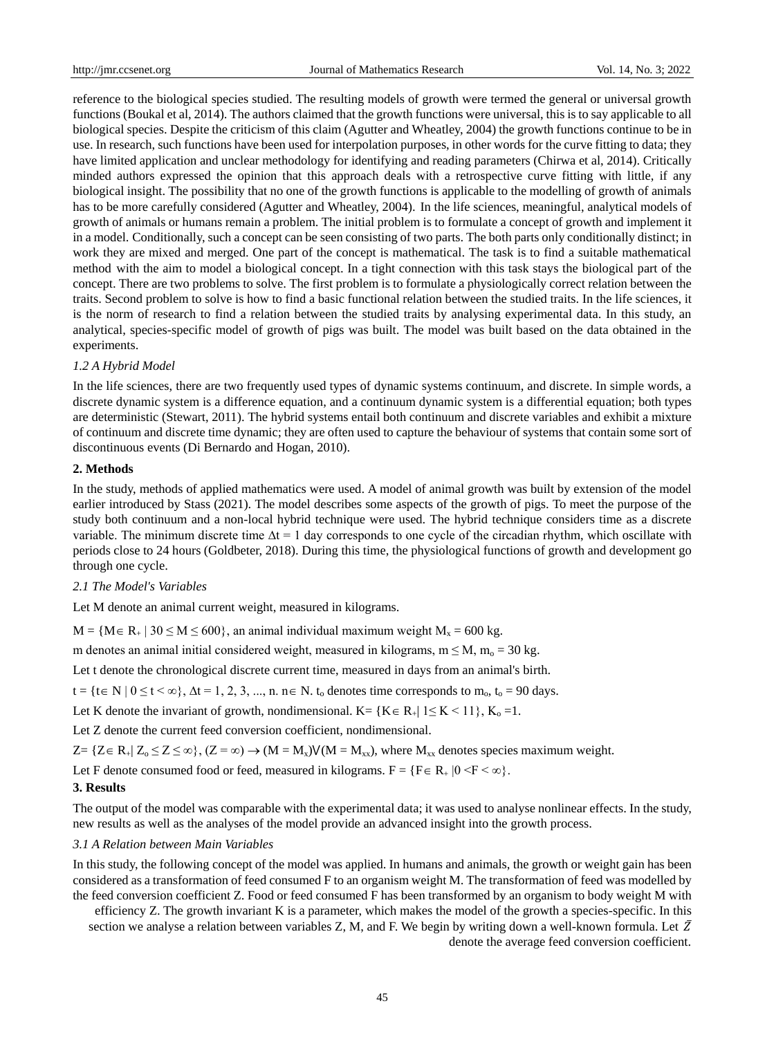reference to the biological species studied. The resulting models of growth were termed the general or universal growth functions (Boukal et al, 2014). The authors claimed that the growth functions were universal, this is to say applicable to all biological species. Despite the criticism of this claim (Agutter and Wheatley, 2004) the growth functions continue to be in use. In research, such functions have been used for interpolation purposes, in other words for the curve fitting to data; they have limited application and unclear methodology for identifying and reading parameters (Chirwa et al, 2014). Critically minded authors expressed the opinion that this approach deals with a retrospective curve fitting with little, if any biological insight. The possibility that no one of the growth functions is applicable to the modelling of growth of animals has to be more carefully considered (Agutter and Wheatley, 2004). In the life sciences, meaningful, analytical models of growth of animals or humans remain a problem. The initial problem is to formulate a concept of growth and implement it in a model. Conditionally, such a concept can be seen consisting of two parts. The both parts only conditionally distinct; in work they are mixed and merged. One part of the concept is mathematical. The task is to find a suitable mathematical method with the aim to model a biological concept. In a tight connection with this task stays the biological part of the concept. There are two problems to solve. The first problem is to formulate a physiologically correct relation between the traits. Second problem to solve is how to find a basic functional relation between the studied traits. In the life sciences, it is the norm of research to find a relation between the studied traits by analysing experimental data. In this study, an analytical, species-specific model of growth of pigs was built. The model was built based on the data obtained in the experiments.

## *1.2 A Hybrid Model*

In the life sciences, there are two frequently used types of dynamic systems continuum, and discrete. In simple words, a discrete dynamic system is a difference equation, and a continuum dynamic system is a differential equation; both types are deterministic (Stewart, 2011). The hybrid systems entail both continuum and discrete variables and exhibit a mixture of continuum and discrete time dynamic; they are often used to capture the behaviour of systems that contain some sort of discontinuous events (Di Bernardo and Hogan, 2010).

## **2. Methods**

In the study, methods of applied mathematics were used. A model of animal growth was built by extension of the model earlier introduced by Stass (2021). The model describes some aspects of the growth of pigs. To meet the purpose of the study both continuum and a non-local hybrid technique were used. The hybrid technique considers time as a discrete variable. The minimum discrete time  $\Delta t = 1$  day corresponds to one cycle of the circadian rhythm, which oscillate with periods close to 24 hours (Goldbeter, 2018). During this time, the physiological functions of growth and development go through one cycle.

#### *2.1 The Model's Variables*

Let M denote an animal current weight, measured in kilograms.

 $M = \{M \in R_+ \mid 30 \le M \le 600\}$ , an animal individual maximum weight  $M_x = 600$  kg.

m denotes an animal initial considered weight, measured in kilograms,  $m \le M$ ,  $m_0 = 30$  kg.

Let t denote the chronological discrete current time, measured in days from an animal's birth.

 $t = \{t \in N \mid 0 \le t < \infty\}$ ,  $\Delta t = 1, 2, 3, ..., n$ .  $n \in N$ .  $t_0$  denotes time corresponds to  $m_0$ ,  $t_0 = 90$  days.

Let K denote the invariant of growth, nondimensional. K= {K \ee R\_{| 1 \le K \epsil 1}, K\_{\simple -1}.

Let Z denote the current feed conversion coefficient, nondimensional.

 $Z = \{Z \in R_+ | Z_0 \leq Z \leq \infty \}, (Z = \infty) \to (M = M_x) V(M = M_{xx}),$  where  $M_{xx}$  denotes species maximum weight.

Let F denote consumed food or feed, measured in kilograms.  $F = \{F \in R_+ | 0 \le F \le \infty\}$ .

#### **3. Results**

The output of the model was comparable with the experimental data; it was used to analyse nonlinear effects. In the study, new results as well as the analyses of the model provide an advanced insight into the growth process.

#### *3.1 A Relation between Main Variables*

In this study, the following concept of the model was applied. In humans and animals, the growth or weight gain has been considered as a transformation of feed consumed F to an organism weight M. The transformation of feed was modelled by the feed conversion coefficient Z. Food or feed consumed F has been transformed by an organism to body weight M with

efficiency Z. The growth invariant K is a parameter, which makes the model of the growth a species-specific. In this section we analyse a relation between variables Z, M, and F. We begin by writing down a well-known formula. Let  $\bar{Z}$ 

denote the average feed conversion coefficient.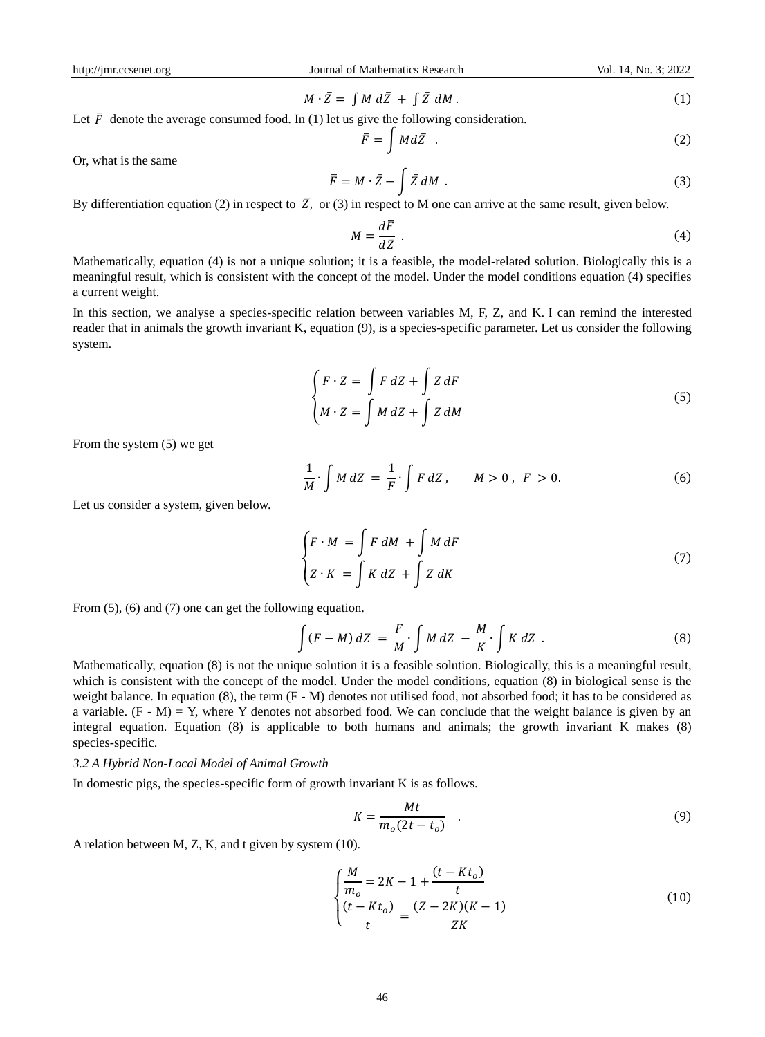$$
M \cdot \bar{Z} = \int M d\bar{Z} + \int \bar{Z} dM. \tag{1}
$$

Let  $\bar{F}$  denote the average consumed food. In (1) let us give the following consideration.

$$
\bar{F} = \int M d\bar{Z} \quad . \tag{2}
$$

Or, what is the same

$$
\bar{F} = M \cdot \bar{Z} - \int \bar{Z} dM \tag{3}
$$

By differentiation equation (2) in respect to  $\overline{Z}$ , or (3) in respect to M one can arrive at the same result, given below.

$$
M = \frac{d\bar{F}}{d\bar{Z}} \tag{4}
$$

Mathematically, equation (4) is not a unique solution; it is a feasible, the model-related solution. Biologically this is a meaningful result, which is consistent with the concept of the model. Under the model conditions equation (4) specifies a current weight.

In this section, we analyse a species-specific relation between variables M, F, Z, and K. I can remind the interested reader that in animals the growth invariant K, equation (9), is a species-specific parameter. Let us consider the following system.

$$
\begin{cases}\nF \cdot Z = \int F \, dZ + \int Z \, dF \\
M \cdot Z = \int M \, dZ + \int Z \, dM\n\end{cases}
$$
\n(5)

From the system (5) we get

$$
\frac{1}{M} \cdot \int M dZ = \frac{1}{F} \cdot \int F dZ, \qquad M > 0, \ F > 0.
$$
 (6)

Let us consider a system, given below.

$$
\begin{cases}\nF \cdot M = \int F \, dM + \int M \, dF \\
Z \cdot K = \int K \, dZ + \int Z \, dK\n\end{cases} \tag{7}
$$

From  $(5)$ ,  $(6)$  and  $(7)$  one can get the following equation.

$$
\int (F - M) dZ = \frac{F}{M} \cdot \int M dZ - \frac{M}{K} \cdot \int K dZ \tag{8}
$$

Mathematically, equation (8) is not the unique solution it is a feasible solution. Biologically, this is a meaningful result, which is consistent with the concept of the model. Under the model conditions, equation (8) in biological sense is the weight balance. In equation (8), the term  $(F - M)$  denotes not utilised food, not absorbed food; it has to be considered as a variable.  $(F - M) = Y$ , where Y denotes not absorbed food. We can conclude that the weight balance is given by an integral equation. Equation (8) is applicable to both humans and animals; the growth invariant K makes (8) species-specific.

#### *3.2 A Hybrid Non-Local Model of Animal Growth*

In domestic pigs, the species-specific form of growth invariant K is as follows.

$$
K = \frac{Mt}{m_o(2t - t_o)}\tag{9}
$$

A relation between M, Z, K, and t given by system (10).

$$
\begin{cases}\n\frac{M}{m_o} = 2K - 1 + \frac{(t - Kt_o)}{t} \\
\frac{(t - Kt_o)}{t} = \frac{(Z - 2K)(K - 1)}{ZK}\n\end{cases}
$$
\n(10)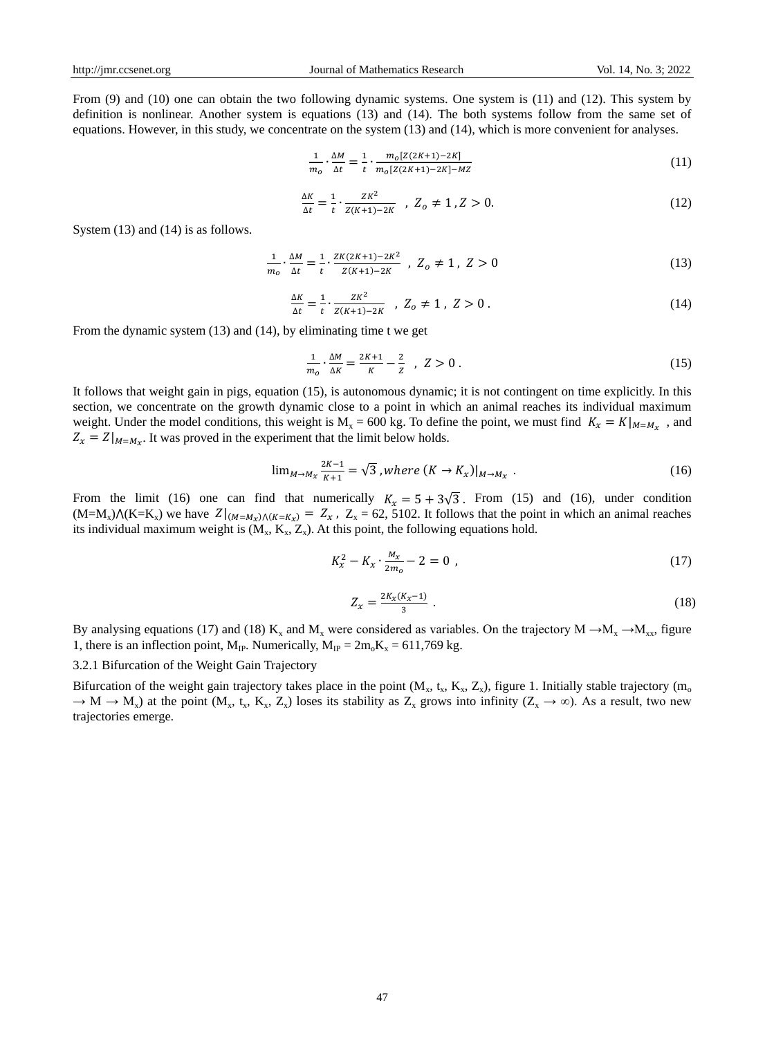From (9) and (10) one can obtain the two following dynamic systems. One system is (11) and (12). This system by definition is nonlinear. Another system is equations (13) and (14). The both systems follow from the same set of equations. However, in this study, we concentrate on the system (13) and (14), which is more convenient for analyses.

$$
\frac{1}{m_o} \cdot \frac{\Delta M}{\Delta t} = \frac{1}{t} \cdot \frac{m_o[Z(2K+1)-2K]}{m_o[Z(2K+1)-2K]-MZ}
$$
\n(11)

$$
\frac{\Delta K}{\Delta t} = \frac{1}{t} \cdot \frac{ZK^2}{Z(K+1) - 2K} \quad , \ Z_o \neq 1 \, , Z > 0. \tag{12}
$$

System  $(13)$  and  $(14)$  is as follows.

$$
\frac{1}{m_o} \cdot \frac{\Delta M}{\Delta t} = \frac{1}{t} \cdot \frac{ZK(2K+1) - 2K^2}{Z(K+1) - 2K} , \ Z_o \neq 1 , \ Z > 0
$$
\n(13)

$$
\frac{\Delta K}{\Delta t} = \frac{1}{t} \cdot \frac{ZK^2}{Z(K+1) - 2K} \quad , \ Z_o \neq 1 \, , \ Z > 0 \, . \tag{14}
$$

From the dynamic system (13) and (14), by eliminating time t we get

$$
\frac{1}{m_o} \cdot \frac{\Delta M}{\Delta K} = \frac{2K + 1}{K} - \frac{2}{Z} \quad , \ Z > 0 \ . \tag{15}
$$

It follows that weight gain in pigs, equation (15), is autonomous dynamic; it is not contingent on time explicitly. In this section, we concentrate on the growth dynamic close to a point in which an animal reaches its individual maximum weight. Under the model conditions, this weight is  $M_x = 600$  kg. To define the point, we must find  $K_x = K|_{M=M_x}$ , and  $Z_x = Z|_{M=M_x}$ . It was proved in the experiment that the limit below holds.

$$
\lim_{M \to M_X} \frac{2K - 1}{K + 1} = \sqrt{3}, where (K \to K_X)|_{M \to M_X}.
$$
 (16)

From the limit (16) one can find that numerically  $K_x = 5 + 3\sqrt{3}$ . From (15) and (16), under condition  $(M=M_x) \Lambda (K=K_x)$  we have  $Z|_{(M=M_x) \Lambda (K=K_x)} = Z_x$ ,  $Z_x = 62, 5102$ . It follows that the point in which an animal reaches its individual maximum weight is  $(M_x, K_x, Z_x)$ . At this point, the following equations hold.

$$
K_x^2 - K_x \cdot \frac{M_x}{2m_o} - 2 = 0 \tag{17}
$$

$$
Z_x = \frac{2K_x(K_x - 1)}{3} \tag{18}
$$

By analysing equations (17) and (18) K<sub>x</sub> and M<sub>x</sub> were considered as variables. On the trajectory M  $\rightarrow$ M<sub>x</sub>  $\rightarrow$ M<sub>xx</sub>, figure 1, there is an inflection point, M<sub>IP</sub>. Numerically,  $M_{IP} = 2m_0K_x = 611,769$  kg.

3.2.1 Bifurcation of the Weight Gain Trajectory

Bifurcation of the weight gain trajectory takes place in the point  $(M_x, t_x, K_x, Z_x)$ , figure 1. Initially stable trajectory  $(m_0, t_y, K_y, Z_y)$  $\rightarrow$  M  $\rightarrow$  M<sub>x</sub>) at the point (M<sub>x</sub>, t<sub>x</sub>, K<sub>x</sub>, Z<sub>x</sub>) loses its stability as Z<sub>x</sub> grows into infinity (Z<sub>x</sub>  $\rightarrow \infty$ ). As a result, two new trajectories emerge.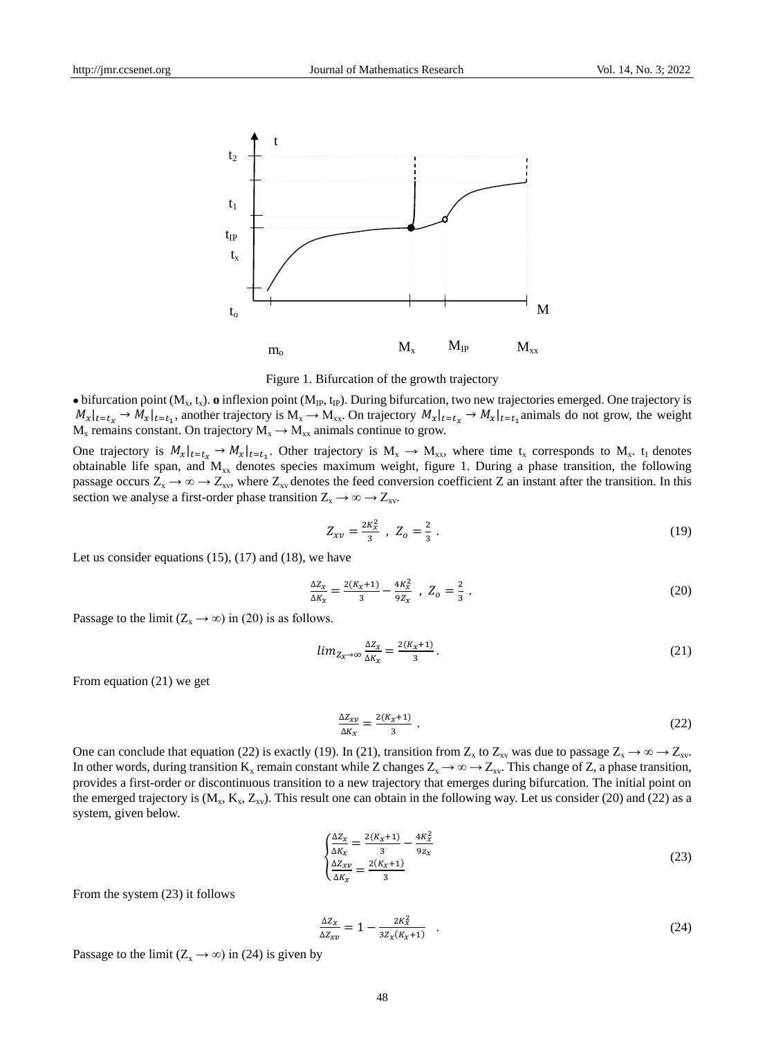



 $\bullet$  bifurcation point ( $M_x$ , t<sub>x</sub>).  $\bullet$  inflexion point ( $M_{IP}$ , t<sub>IP</sub>). During bifurcation, two new trajectories emerged. One trajectory is  $M_x|_{t=t_x} \to M_x|_{t=t_1}$ , another trajectory is  $M_x \to M_{xx}$ . On trajectory  $M_x|_{t=t_x} \to M_x|_{t=t_1}$  animals do not grow, the weight  $M_x$  remains constant. On trajectory  $M_x \rightarrow M_{xx}$  animals continue to grow.

One trajectory is  $M_x|_{t=t_x} \to M_x|_{t=t_1}$ . Other trajectory is  $M_x \to M_{xx}$ , where time  $t_x$  corresponds to  $M_x$ .  $t_1$  denotes obtainable life span, and  $M_{xx}$  denotes species maximum weight, figure 1. During a phase transition, the following passage occurs  $Z_x \to \infty \to Z_{xy}$ , where  $Z_{xy}$  denotes the feed conversion coefficient Z an instant after the transition. In this section we analyse a first-order phase transition  $Z_x \to \infty \to Z_{xy}$ .

$$
Z_{xy} = \frac{2K_x^2}{3} \, , \, Z_o = \frac{2}{3} \, . \tag{19}
$$

Let us consider equations  $(15)$ ,  $(17)$  and  $(18)$ , we have

$$
\frac{\Delta Z_x}{\Delta K_x} = \frac{2(K_x + 1)}{3} - \frac{4K_x^2}{9Z_x} , \quad Z_o = \frac{2}{3} .
$$
 (20)

Passage to the limit  $(Z_x \rightarrow \infty)$  in (20) is as follows.

$$
lim_{Z_x \to \infty} \frac{\Delta Z_x}{\Delta K_x} = \frac{2(K_x + 1)}{3}.
$$
\n(21)

From equation (21) we get

$$
\frac{\Delta Z_{\chi v}}{\Delta K_{\chi}} = \frac{2(K_{\chi} + 1)}{3} \tag{22}
$$

One can conclude that equation (22) is exactly (19). In (21), transition from  $Z_x$  to  $Z_{xy}$  was due to passage  $Z_x \to \infty \to Z_{xy}$ . In other words, during transition  $K_x$  remain constant while Z changes  $Z_x \to \infty \to Z_{xy}$ . This change of Z, a phase transition, provides a first-order or discontinuous transition to a new trajectory that emerges during bifurcation. The initial point on the emerged trajectory is  $(M_x, K_x, Z_{xy})$ . This result one can obtain in the following way. Let us consider (20) and (22) as a system, given below.

$$
\begin{aligned}\n\frac{\Delta Z_x}{\Delta K_x} &= \frac{2(K_x + 1)}{3} - \frac{4K_x^2}{9z_x} \\
\frac{\Delta Z_{xy}}{\Delta K_x} &= \frac{2(K_x + 1)}{3}\n\end{aligned}
$$
\n(23)

From the system (23) it follows

$$
\frac{\Delta Z_x}{\Delta Z_{xy}} = 1 - \frac{2K_x^2}{3Z_x(K_x + 1)}\tag{24}
$$

Passage to the limit ( $Z_x \rightarrow \infty$ ) in (24) is given by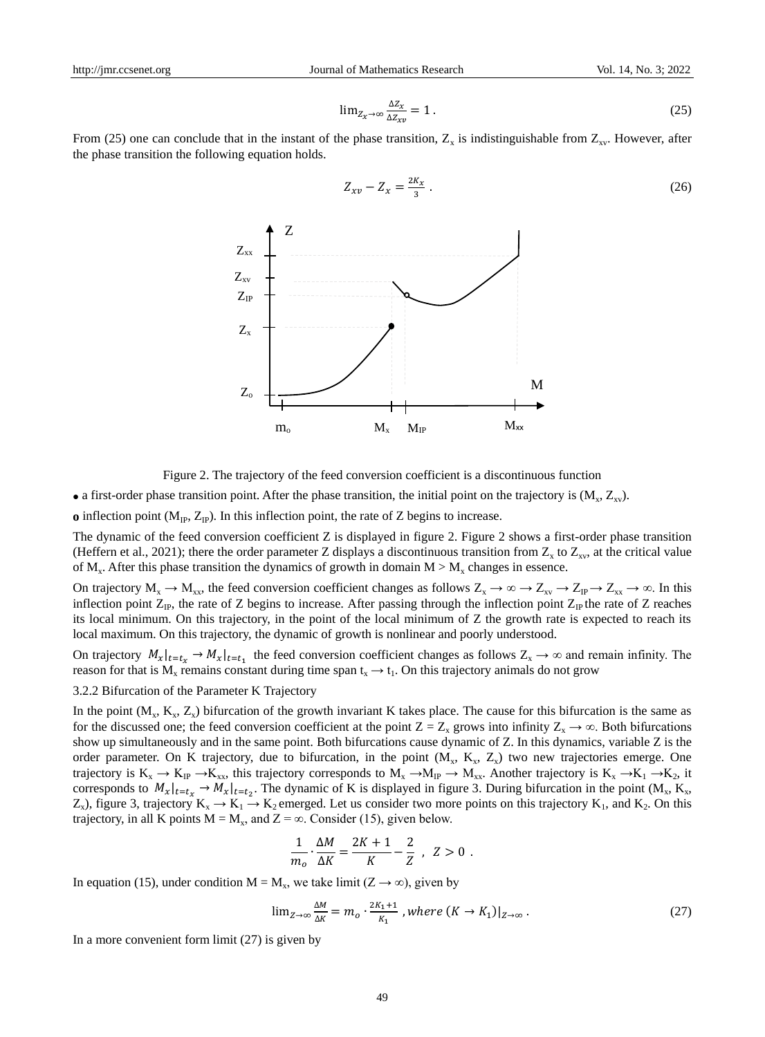$$
\lim_{Z_x \to \infty} \frac{\Delta Z_x}{\Delta Z_{xy}} = 1.
$$
\n(25)

From (25) one can conclude that in the instant of the phase transition,  $Z_x$  is indistinguishable from  $Z_{xy}$ . However, after the phase transition the following equation holds.



$$
Z_{xy} - Z_x = \frac{2K_x}{3} \tag{26}
$$

Figure 2. The trajectory of the feed conversion coefficient is a discontinuous function

• a first-order phase transition point. After the phase transition, the initial point on the trajectory is  $(M_x, Z_{xy})$ .

**o** inflection point  $(M_{IP}, Z_{IP})$ . In this inflection point, the rate of Z begins to increase.

The dynamic of the feed conversion coefficient Z is displayed in figure 2. Figure 2 shows a first-order phase transition (Heffern et al., 2021); there the order parameter Z displays a discontinuous transition from  $Z_x$  to  $Z_{xy}$ , at the critical value of  $M_x$ . After this phase transition the dynamics of growth in domain  $M > M_x$  changes in essence.

On trajectory  $M_x \to M_{xx}$ , the feed conversion coefficient changes as follows  $Z_x \to \infty \to Z_{xy} \to Z_{IP} \to Z_{xx} \to \infty$ . In this inflection point  $Z_{IP}$ , the rate of Z begins to increase. After passing through the inflection point  $Z_{IP}$  the rate of Z reaches its local minimum. On this trajectory, in the point of the local minimum of Z the growth rate is expected to reach its local maximum. On this trajectory, the dynamic of growth is nonlinear and poorly understood.

On trajectory  $M_x|_{t=t_x} \to M_x|_{t=t_1}$  the feed conversion coefficient changes as follows  $Z_x \to \infty$  and remain infinity. The reason for that is  $M_x$  remains constant during time span  $t_x \to t_1$ . On this trajectory animals do not grow

3.2.2 Bifurcation of the Parameter K Trajectory

In the point  $(M_x, K_x, Z_x)$  bifurcation of the growth invariant K takes place. The cause for this bifurcation is the same as for the discussed one; the feed conversion coefficient at the point  $Z = Z_x$  grows into infinity  $Z_x \to \infty$ . Both bifurcations show up simultaneously and in the same point. Both bifurcations cause dynamic of Z. In this dynamics, variable Z is the order parameter. On K trajectory, due to bifurcation, in the point  $(M_x, K_x, Z_x)$  two new trajectories emerge. One trajectory is  $K_x \to K_{IP} \to K_{xx}$ , this trajectory corresponds to  $M_x \to M_{IP} \to M_{xx}$ . Another trajectory is  $K_x \to K_1 \to K_2$ , it corresponds to  $M_x|_{t=t_x} \to M_x|_{t=t_2}$ . The dynamic of K is displayed in figure 3. During bifurcation in the point  $(M_x, K_x, K_y)$  $Z_x$ ), figure 3, trajectory  $K_x \to K_1 \to K_2$  emerged. Let us consider two more points on this trajectory  $K_1$ , and  $K_2$ . On this trajectory, in all K points  $M = M_x$ , and  $Z = \infty$ . Consider (15), given below.

$$
\frac{1}{m_o} \cdot \frac{\Delta M}{\Delta K} = \frac{2K+1}{K} - \frac{2}{Z} , \quad Z > 0 .
$$

In equation (15), under condition  $M = M_x$ , we take limit (Z  $\rightarrow \infty$ ), given by

$$
\lim_{Z \to \infty} \frac{\Delta M}{\Delta K} = m_o \cdot \frac{2K_1 + 1}{K_1}, \text{where } (K \to K_1)|_{Z \to \infty} \,. \tag{27}
$$

In a more convenient form limit (27) is given by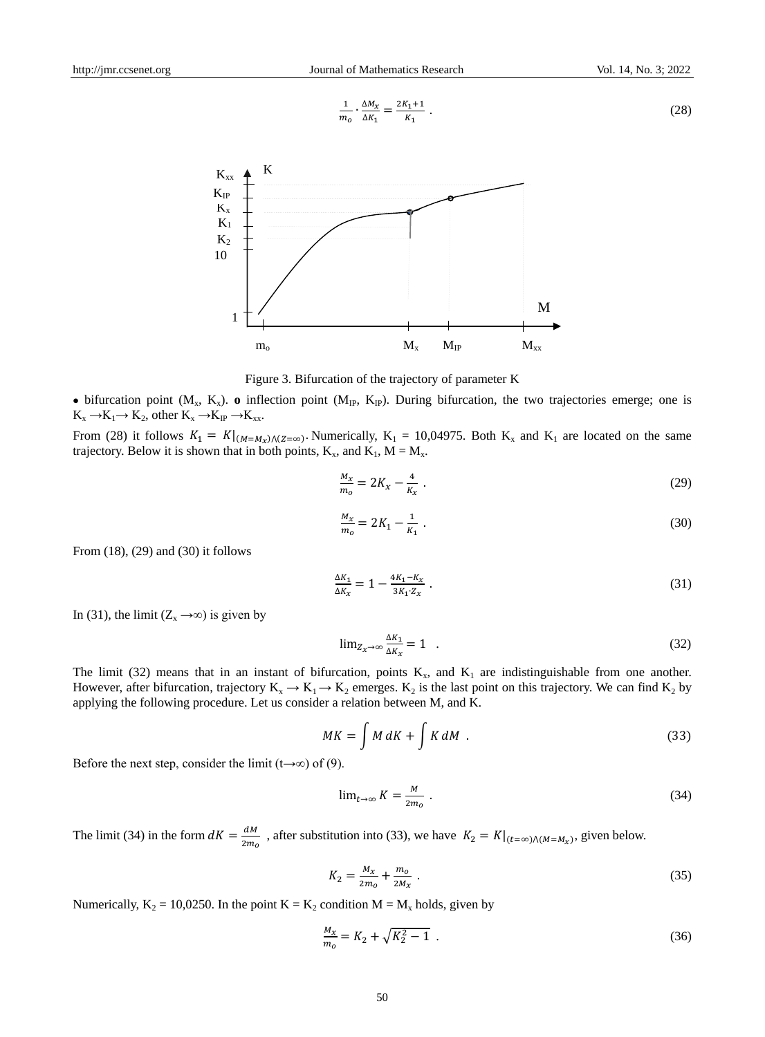1

$$
\frac{1}{m_o} \cdot \frac{\Delta M_\chi}{\Delta K_1} = \frac{2K_1 + 1}{K_1} \tag{28}
$$





 $\bullet$  bifurcation point ( $M_x$ ,  $K_x$ ).  $\bullet$  inflection point ( $M_{IP}$ ,  $K_{IP}$ ). During bifurcation, the two trajectories emerge; one is  $K_{x} \rightarrow K_{1} \rightarrow K_{2}$ , other  $K_{x} \rightarrow K_{IP} \rightarrow K_{xx}$ .

From (28) it follows  $K_1 = K|_{(M=M_X)(Z=\infty)}$ . Numerically,  $K_1 = 10,04975$ . Both  $K_x$  and  $K_1$  are located on the same trajectory. Below it is shown that in both points,  $K_x$ , and  $K_1$ ,  $M = M_x$ .

$$
\frac{M_X}{m_o} = 2K_X - \frac{4}{K_X} \tag{29}
$$

$$
\frac{M_x}{m_o} = 2K_1 - \frac{1}{K_1} \tag{30}
$$

From (18), (29) and (30) it follows

$$
\frac{\Delta K_1}{\Delta K_x} = 1 - \frac{4K_1 - K_x}{3K_1 \cdot Z_x} \tag{31}
$$

In (31), the limit ( $Z_x \rightarrow \infty$ ) is given by

$$
\lim_{Z_X \to \infty} \frac{\Delta K_1}{\Delta K_X} = 1 \quad . \tag{32}
$$

The limit (32) means that in an instant of bifurcation, points  $K_x$ , and  $K_1$  are indistinguishable from one another. However, after bifurcation, trajectory  $K_x \to K_1 \to K_2$  emerges.  $K_2$  is the last point on this trajectory. We can find  $K_2$  by applying the following procedure. Let us consider a relation between M, and K.

$$
MK = \int M dK + \int K dM \tag{33}
$$

Before the next step, consider the limit (t→∞) of (9).

$$
\lim_{t \to \infty} K = \frac{M}{2m_o} \tag{34}
$$

The limit (34) in the form  $dK = \frac{dM}{2m}$  $rac{u_n}{2m_o}$ , after substitution into (33), we have  $K_2 = K|_{(t=\infty)\wedge (M=M_X)}$ , given below.

$$
K_2 = \frac{M_x}{2m_o} + \frac{m_o}{2M_x} \tag{35}
$$

Numerically,  $K_2 = 10,0250$ . In the point  $K = K_2$  condition  $M = M_x$  holds, given by

$$
\frac{M_X}{m_o} = K_2 + \sqrt{K_2^2 - 1} \tag{36}
$$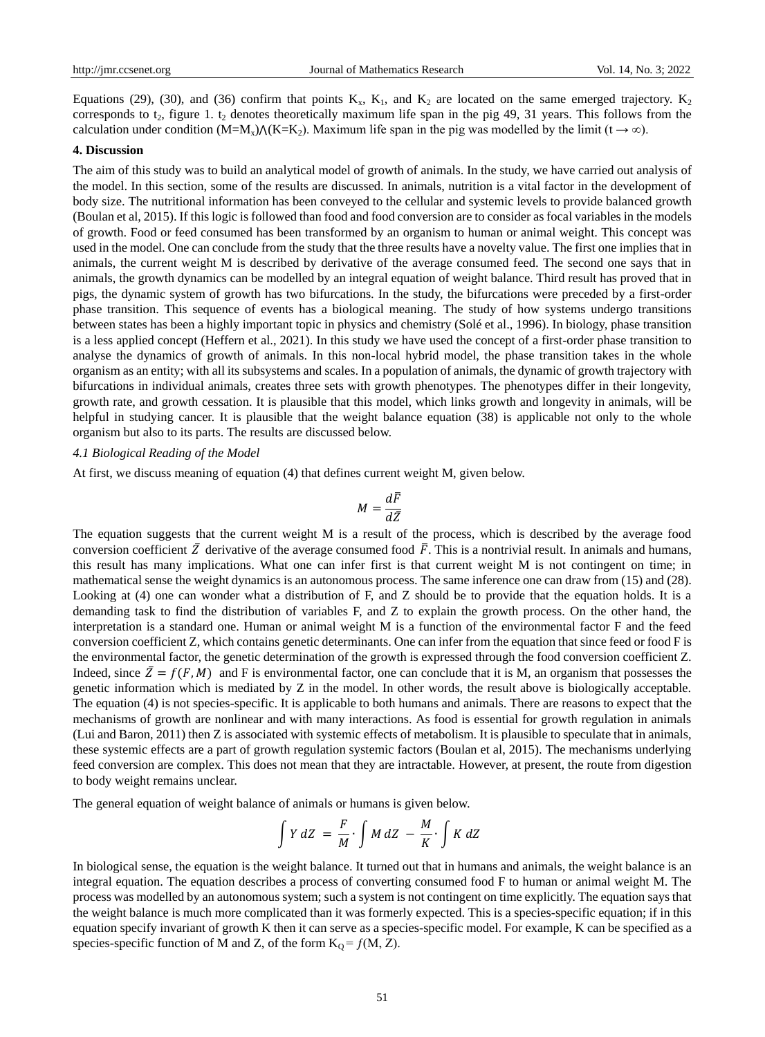Equations (29), (30), and (36) confirm that points  $K_x$ ,  $K_1$ , and  $K_2$  are located on the same emerged trajectory.  $K_2$ corresponds to  $t_2$ , figure 1.  $t_2$  denotes theoretically maximum life span in the pig 49, 31 years. This follows from the calculation under condition (M=M<sub>x</sub>) $\Lambda$ (K=K<sub>2</sub>). Maximum life span in the pig was modelled by the limit (t  $\to \infty$ ).

#### **4. Discussion**

The aim of this study was to build an analytical model of growth of animals. In the study, we have carried out analysis of the model. In this section, some of the results are discussed. In animals, nutrition is a vital factor in the development of body size. The nutritional information has been conveyed to the cellular and systemic levels to provide balanced growth (Boulan et al, 2015). If this logic is followed than food and food conversion are to consider as focal variables in the models of growth. Food or feed consumed has been transformed by an organism to human or animal weight. This concept was used in the model. One can conclude from the study that the three results have a novelty value. The first one implies that in animals, the current weight M is described by derivative of the average consumed feed. The second one says that in animals, the growth dynamics can be modelled by an integral equation of weight balance. Third result has proved that in pigs, the dynamic system of growth has two bifurcations. In the study, the bifurcations were preceded by a first-order phase transition. This sequence of events has a biological meaning. The study of how systems undergo transitions between states has been a highly important topic in physics and chemistry (Solé et al., 1996). In biology, phase transition is a less applied concept (Heffern et al., 2021). In this study we have used the concept of a first-order phase transition to analyse the dynamics of growth of animals. In this non-local hybrid model, the phase transition takes in the whole organism as an entity; with all its subsystems and scales. In a population of animals, the dynamic of growth trajectory with bifurcations in individual animals, creates three sets with growth phenotypes. The phenotypes differ in their longevity, growth rate, and growth cessation. It is plausible that this model, which links growth and longevity in animals, will be helpful in studying cancer. It is plausible that the weight balance equation (38) is applicable not only to the whole organism but also to its parts. The results are discussed below.

## *4.1 Biological Reading of the Model*

At first, we discuss meaning of equation (4) that defines current weight M, given below.

$$
M = \frac{d\bar{F}}{d\bar{Z}}
$$

The equation suggests that the current weight M is a result of the process, which is described by the average food conversion coefficient  $\bar{Z}$  derivative of the average consumed food  $\bar{F}$ . This is a nontrivial result. In animals and humans, this result has many implications. What one can infer first is that current weight M is not contingent on time; in mathematical sense the weight dynamics is an autonomous process. The same inference one can draw from (15) and (28). Looking at (4) one can wonder what a distribution of F, and Z should be to provide that the equation holds. It is a demanding task to find the distribution of variables F, and Z to explain the growth process. On the other hand, the interpretation is a standard one. Human or animal weight M is a function of the environmental factor F and the feed conversion coefficient Z, which contains genetic determinants. One can infer from the equation that since feed or food F is the environmental factor, the genetic determination of the growth is expressed through the food conversion coefficient Z. Indeed, since  $\bar{Z} = f(F, M)$  and F is environmental factor, one can conclude that it is M, an organism that possesses the genetic information which is mediated by Z in the model. In other words, the result above is biologically acceptable. The equation (4) is not species-specific. It is applicable to both humans and animals. There are reasons to expect that the mechanisms of growth are nonlinear and with many interactions. As food is essential for growth regulation in animals (Lui and Baron, 2011) then Z is associated with systemic effects of metabolism. It is plausible to speculate that in animals, these systemic effects are a part of growth regulation systemic factors (Boulan et al, 2015). The mechanisms underlying feed conversion are complex. This does not mean that they are intractable. However, at present, the route from digestion to body weight remains unclear.

The general equation of weight balance of animals or humans is given below.

$$
\int Y dZ = \frac{F}{M} \cdot \int M dZ - \frac{M}{K} \cdot \int K dZ
$$

In biological sense, the equation is the weight balance. It turned out that in humans and animals, the weight balance is an integral equation. The equation describes a process of converting consumed food F to human or animal weight M. The process was modelled by an autonomous system; such a system is not contingent on time explicitly. The equation says that the weight balance is much more complicated than it was formerly expected. This is a species-specific equation; if in this equation specify invariant of growth K then it can serve as a species-specific model. For example, K can be specified as a species-specific function of M and Z, of the form  $K_Q = f(M, Z)$ .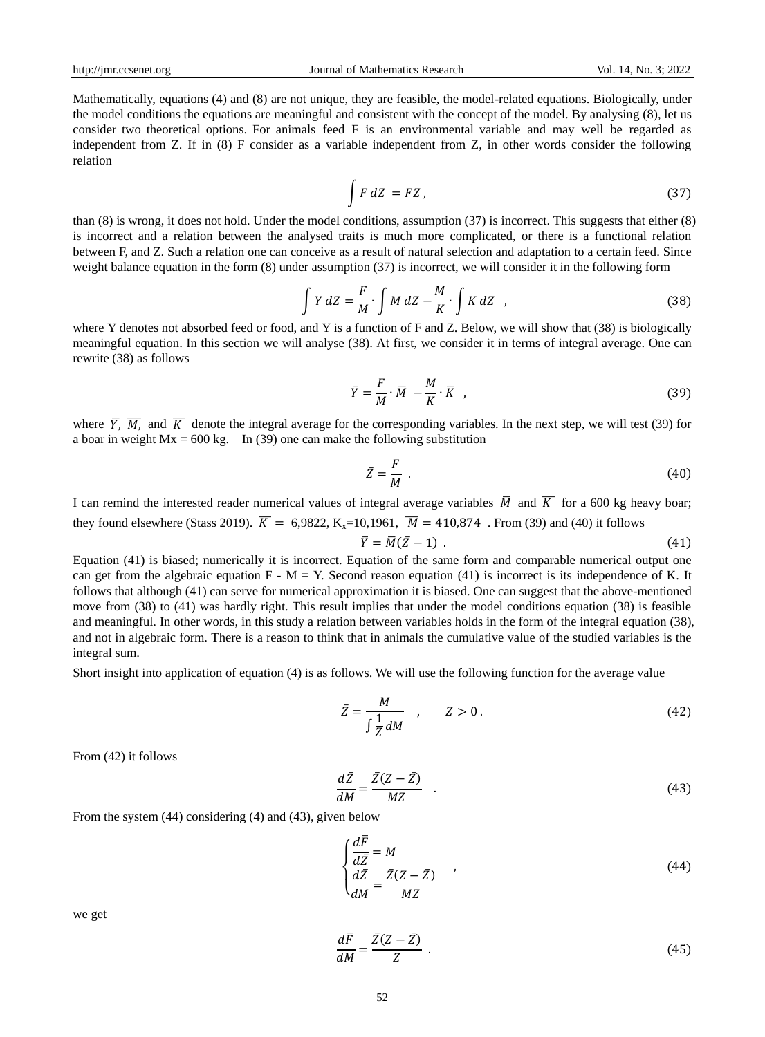Mathematically, equations (4) and (8) are not unique, they are feasible, the model-related equations. Biologically, under the model conditions the equations are meaningful and consistent with the concept of the model. By analysing (8), let us consider two theoretical options. For animals feed F is an environmental variable and may well be regarded as independent from Z. If in (8) F consider as a variable independent from Z, in other words consider the following relation

$$
\int F dZ = FZ, \qquad (37)
$$

than (8) is wrong, it does not hold. Under the model conditions, assumption (37) is incorrect. This suggests that either (8) is incorrect and a relation between the analysed traits is much more complicated, or there is a functional relation between F, and Z. Such a relation one can conceive as a result of natural selection and adaptation to a certain feed. Since weight balance equation in the form (8) under assumption (37) is incorrect, we will consider it in the following form

$$
\int Y dZ = \frac{F}{M} \cdot \int M dZ - \frac{M}{K} \cdot \int K dZ , \qquad (38)
$$

where Y denotes not absorbed feed or food, and Y is a function of F and Z. Below, we will show that (38) is biologically meaningful equation. In this section we will analyse (38). At first, we consider it in terms of integral average. One can rewrite (38) as follows

$$
\bar{Y} = \frac{F}{M} \cdot \bar{M} - \frac{M}{K} \cdot \bar{K} \tag{39}
$$

where  $\overline{Y}$ ,  $\overline{M}$ , and  $\overline{K}$  denote the integral average for the corresponding variables. In the next step, we will test (39) for a boar in weight  $Mx = 600$  kg. In (39) one can make the following substitution

$$
\bar{Z} = \frac{F}{M} \tag{40}
$$

I can remind the interested reader numerical values of integral average variables  $\overline{M}$  and  $\overline{K}$  for a 600 kg heavy boar; they found elsewhere (Stass 2019).  $\overline{K} = 6.9822$ , K<sub>y</sub>=10,1961,  $\overline{M} = 410,874$ . From (39) and (40) it follows

$$
\bar{Y} = \bar{M}(\bar{Z} - 1) \tag{41}
$$

Equation (41) is biased; numerically it is incorrect. Equation of the same form and comparable numerical output one can get from the algebraic equation  $F - M = Y$ . Second reason equation (41) is incorrect is its independence of K. It follows that although (41) can serve for numerical approximation it is biased. One can suggest that the above-mentioned move from (38) to (41) was hardly right. This result implies that under the model conditions equation (38) is feasible and meaningful. In other words, in this study a relation between variables holds in the form of the integral equation (38), and not in algebraic form. There is a reason to think that in animals the cumulative value of the studied variables is the integral sum.

Short insight into application of equation (4) is as follows. We will use the following function for the average value

$$
\bar{Z} = \frac{M}{\int \frac{1}{Z} dM} \quad , \qquad Z > 0 \tag{42}
$$

From (42) it follows

$$
\frac{d\bar{Z}}{dM} = \frac{\bar{Z}(Z - \bar{Z})}{MZ} \tag{43}
$$

From the system (44) considering (4) and (43), given below

$$
\begin{cases}\n\frac{d\overline{F}}{d\overline{Z}} = M \n\frac{d\overline{Z}}{dM} = \frac{\overline{Z}(Z - \overline{Z})}{MZ\n\end{cases}
$$
\n(44)

we get

$$
\frac{d\bar{F}}{dM} = \frac{\bar{Z}(Z - \bar{Z})}{Z} \tag{45}
$$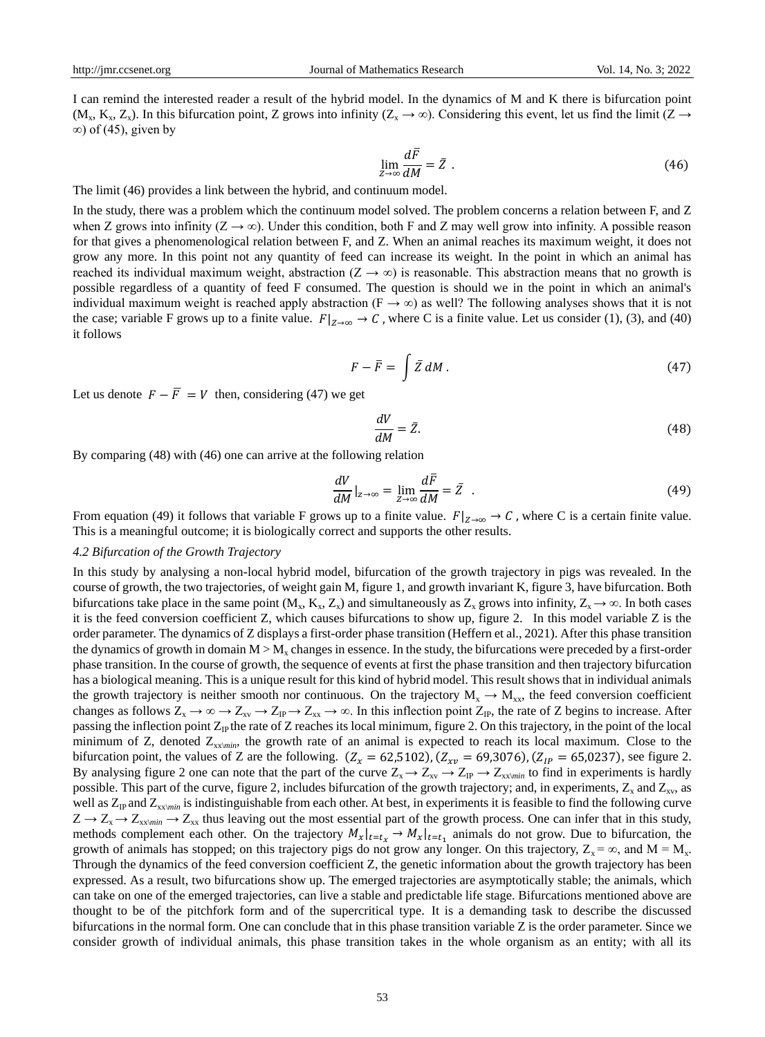I can remind the interested reader a result of the hybrid model. In the dynamics of M and K there is bifurcation point  $(M_x, K_x, Z_x)$ . In this bifurcation point, Z grows into infinity  $(Z_x \to \infty)$ . Considering this event, let us find the limit  $(Z \to \infty)$  $\infty$ ) of (45), given by

$$
\lim_{Z \to \infty} \frac{d\bar{F}}{dM} = \bar{Z} \tag{46}
$$

The limit (46) provides a link between the hybrid, and continuum model.

In the study, there was a problem which the continuum model solved. The problem concerns a relation between F, and Z when Z grows into infinity ( $Z \rightarrow \infty$ ). Under this condition, both F and Z may well grow into infinity. A possible reason for that gives a phenomenological relation between F, and Z. When an animal reaches its maximum weight, it does not grow any more. In this point not any quantity of feed can increase its weight. In the point in which an animal has reached its individual maximum weight, abstraction ( $Z \rightarrow \infty$ ) is reasonable. This abstraction means that no growth is possible regardless of a quantity of feed F consumed. The question is should we in the point in which an animal's individual maximum weight is reached apply abstraction ( $F \rightarrow \infty$ ) as well? The following analyses shows that it is not the case; variable F grows up to a finite value.  $F|_{z\to\infty} \to C$ , where C is a finite value. Let us consider (1), (3), and (40) it follows

$$
F - \bar{F} = \int \bar{Z} dM \,. \tag{47}
$$

Let us denote  $F - \overline{F} = V$  then, considering (47) we get

$$
\frac{dV}{dM} = \bar{Z}.\tag{48}
$$

By comparing (48) with (46) one can arrive at the following relation

$$
\frac{dV}{dM}|_{z\to\infty} = \lim_{Z\to\infty} \frac{d\bar{F}}{dM} = \bar{Z} \quad . \tag{49}
$$

From equation (49) it follows that variable F grows up to a finite value.  $F|_{Z\to\infty} \to C$ , where C is a certain finite value. This is a meaningful outcome; it is biologically correct and supports the other results.

#### *4.2 Bifurcation of the Growth Trajectory*

In this study by analysing a non-local hybrid model, bifurcation of the growth trajectory in pigs was revealed. In the course of growth, the two trajectories, of weight gain M, figure 1, and growth invariant K, figure 3, have bifurcation. Both bifurcations take place in the same point (M<sub>x</sub>, K<sub>x</sub>, Z<sub>x</sub>) and simultaneously as Z<sub>x</sub> grows into infinity, Z<sub>x</sub>  $\to \infty$ . In both cases it is the feed conversion coefficient Z, which causes bifurcations to show up, figure 2. In this model variable Z is the order parameter. The dynamics of Z displays a first-order phase transition (Heffern et al., 2021). After this phase transition the dynamics of growth in domain  $M > M<sub>v</sub>$  changes in essence. In the study, the bifurcations were preceded by a first-order phase transition. In the course of growth, the sequence of events at first the phase transition and then trajectory bifurcation has a biological meaning. This is a unique result for this kind of hybrid model. This result shows that in individual animals the growth trajectory is neither smooth nor continuous. On the trajectory  $M_x \to M_{xx}$ , the feed conversion coefficient changes as follows  $Z_x \to \infty \to Z_{xy} \to Z_{xy} \to Z_{xx} \to \infty$ . In this inflection point  $Z_{IP}$ , the rate of Z begins to increase. After passing the inflection point  $Z_{IP}$  the rate of Z reaches its local minimum, figure 2. On this trajectory, in the point of the local minimum of Z, denoted  $Z_{xx\prime min}$ , the growth rate of an animal is expected to reach its local maximum. Close to the bifurcation point, the values of Z are the following.  $(Z_x = 62,5102)$ ,  $(Z_{xy} = 69,3076)$ ,  $(Z_{IP} = 65,0237)$ , see figure 2. By analysing figure 2 one can note that the part of the curve  $Z_x \to Z_{xx} \to Z_{IP} \to Z_{xx\text{min}}$  to find in experiments is hardly possible. This part of the curve, figure 2, includes bifurcation of the growth trajectory; and, in experiments,  $Z_x$  and  $Z_{xy}$ , as well as  $Z_{\text{IP}}$  and  $Z_{\text{x}x\text{min}}$  is indistinguishable from each other. At best, in experiments it is feasible to find the following curve  $Z \to Z_x \to Z_{xx\text{min}} \to Z_{xx}$  thus leaving out the most essential part of the growth process. One can infer that in this study, methods complement each other. On the trajectory  $M_x|_{t=t_x} \to M_x|_{t=t_1}$  animals do not grow. Due to bifurcation, the growth of animals has stopped; on this trajectory pigs do not grow any longer. On this trajectory,  $Z_x = \infty$ , and  $M = M_x$ . Through the dynamics of the feed conversion coefficient Z, the genetic information about the growth trajectory has been expressed. As a result, two bifurcations show up. The emerged trajectories are asymptotically stable; the animals, which can take on one of the emerged trajectories, can live a stable and predictable life stage. Bifurcations mentioned above are thought to be of the pitchfork form and of the supercritical type. It is a demanding task to describe the discussed bifurcations in the normal form. One can conclude that in this phase transition variable  $Z$  is the order parameter. Since we consider growth of individual animals, this phase transition takes in the whole organism as an entity; with all its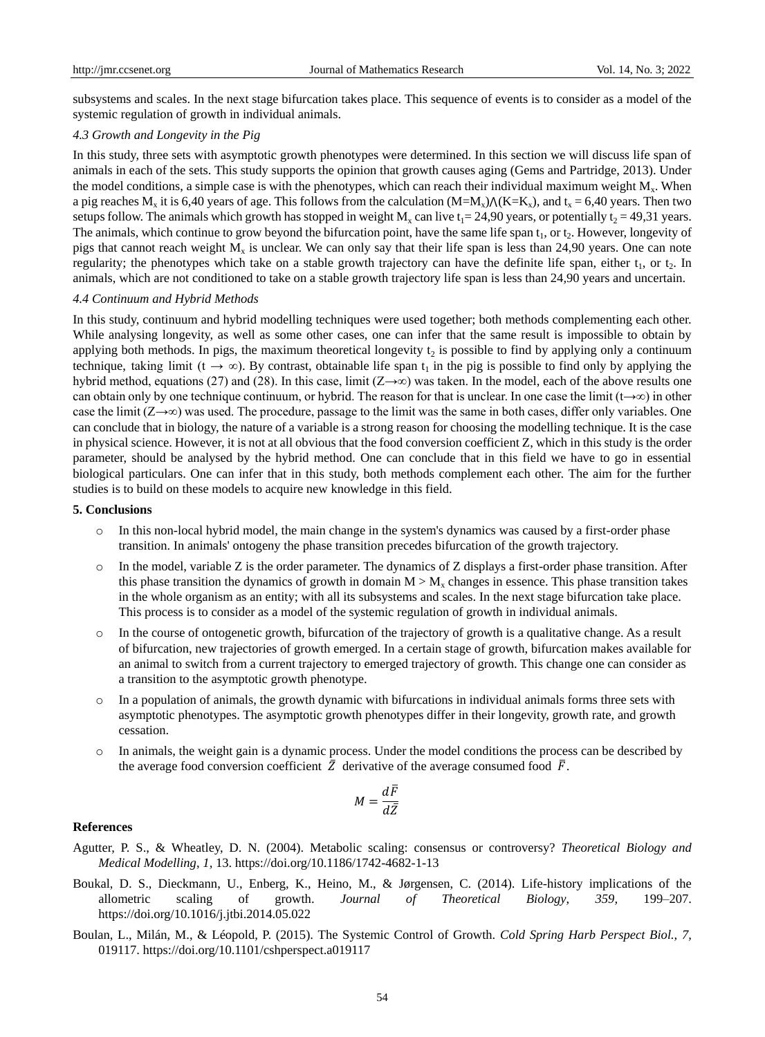subsystems and scales. In the next stage bifurcation takes place. This sequence of events is to consider as a model of the systemic regulation of growth in individual animals.

## *4.3 Growth and Longevity in the Pig*

In this study, three sets with asymptotic growth phenotypes were determined. In this section we will discuss life span of animals in each of the sets. This study supports the opinion that growth causes aging (Gems and Partridge, 2013). Under the model conditions, a simple case is with the phenotypes, which can reach their individual maximum weight  $M_{x}$ . When a pig reaches  $M_x$  it is 6,40 years of age. This follows from the calculation  $(M=M_x)/((K=K_x)$ , and  $t_x = 6,40$  years. Then two setups follow. The animals which growth has stopped in weight  $M_x$  can live t<sub>1</sub>= 24,90 years, or potentially t<sub>2</sub> = 49,31 years. The animals, which continue to grow beyond the bifurcation point, have the same life span  $t_1$ , or  $t_2$ . However, longevity of pigs that cannot reach weight  $M_x$  is unclear. We can only say that their life span is less than 24,90 years. One can note regularity; the phenotypes which take on a stable growth trajectory can have the definite life span, either  $t_1$ , or  $t_2$ . In animals, which are not conditioned to take on a stable growth trajectory life span is less than 24,90 years and uncertain.

### *4.4 Continuum and Hybrid Methods*

In this study, continuum and hybrid modelling techniques were used together; both methods complementing each other. While analysing longevity, as well as some other cases, one can infer that the same result is impossible to obtain by applying both methods. In pigs, the maximum theoretical longevity  $t_2$  is possible to find by applying only a continuum technique, taking limit ( $t \to \infty$ ). By contrast, obtainable life span  $t_1$  in the pig is possible to find only by applying the hybrid method, equations (27) and (28). In this case, limit ( $Z\rightarrow\infty$ ) was taken. In the model, each of the above results one can obtain only by one technique continuum, or hybrid. The reason for that is unclear. In one case the limit  $(t\rightarrow\infty)$  in other case the limit  $(Z \rightarrow \infty)$  was used. The procedure, passage to the limit was the same in both cases, differ only variables. One can conclude that in biology, the nature of a variable is a strong reason for choosing the modelling technique. It is the case in physical science. However, it is not at all obvious that the food conversion coefficient Z, which in this study is the order parameter, should be analysed by the hybrid method. One can conclude that in this field we have to go in essential biological particulars. One can infer that in this study, both methods complement each other. The aim for the further studies is to build on these models to acquire new knowledge in this field.

## **5. Conclusions**

- o In this non-local hybrid model, the main change in the system's dynamics was caused by a first-order phase transition. In animals' ontogeny the phase transition precedes bifurcation of the growth trajectory.
- $\circ$  In the model, variable Z is the order parameter. The dynamics of Z displays a first-order phase transition. After this phase transition the dynamics of growth in domain  $M > M<sub>x</sub>$  changes in essence. This phase transition takes in the whole organism as an entity; with all its subsystems and scales. In the next stage bifurcation take place. This process is to consider as a model of the systemic regulation of growth in individual animals.
- o In the course of ontogenetic growth, bifurcation of the trajectory of growth is a qualitative change. As a result of bifurcation, new trajectories of growth emerged. In a certain stage of growth, bifurcation makes available for an animal to switch from a current trajectory to emerged trajectory of growth. This change one can consider as a transition to the asymptotic growth phenotype.
- o In a population of animals, the growth dynamic with bifurcations in individual animals forms three sets with asymptotic phenotypes. The asymptotic growth phenotypes differ in their longevity, growth rate, and growth cessation.
- o In animals, the weight gain is a dynamic process. Under the model conditions the process can be described by the average food conversion coefficient  $\bar{Z}$  derivative of the average consumed food  $\bar{F}$ .

$$
M=\frac{d\bar{F}}{d\bar{Z}}
$$

#### **References**

- Agutter, P. S., & Wheatley, D. N. (2004). Metabolic scaling: consensus or controversy? *Theoretical Biology and Medical Modelling*, *1,* 13.<https://doi.org/10.1186/1742-4682-1-13>
- Boukal, D. S., Dieckmann, U., Enberg, K., Heino, M., & Jørgensen, C. (2014). Life-history implications of the allometric scaling of growth. *Journal of Theoretical Biology*, *359,* 199–207. <https://doi.org/10.1016/j.jtbi.2014.05.022>
- Boulan, L., Milán, M., & Léopold, P. (2015). The Systemic Control of Growth. *Cold Spring Harb Perspect Biol., 7,* 019117.<https://doi.org/10.1101/cshperspect.a019117>